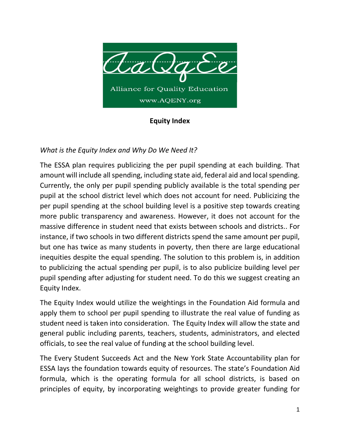

## **Equity Index**

## *What is the Equity Index and Why Do We Need It?*

The ESSA plan requires publicizing the per pupil spending at each building. That amount will include all spending, including state aid, federal aid and local spending. Currently, the only per pupil spending publicly available is the total spending per pupil at the school district level which does not account for need. Publicizing the per pupil spending at the school building level is a positive step towards creating more public transparency and awareness. However, it does not account for the massive difference in student need that exists between schools and districts.. For instance, if two schools in two different districts spend the same amount per pupil, but one has twice as many students in poverty, then there are large educational inequities despite the equal spending. The solution to this problem is, in addition to publicizing the actual spending per pupil, is to also publicize building level per pupil spending after adjusting for student need. To do this we suggest creating an Equity Index.

The Equity Index would utilize the weightings in the Foundation Aid formula and apply them to school per pupil spending to illustrate the real value of funding as student need is taken into consideration. The Equity Index will allow the state and general public including parents, teachers, students, administrators, and elected officials, to see the real value of funding at the school building level.

The Every Student Succeeds Act and the New York State Accountability plan for ESSA lays the foundation towards equity of resources. The state's Foundation Aid formula, which is the operating formula for all school districts, is based on principles of equity, by incorporating weightings to provide greater funding for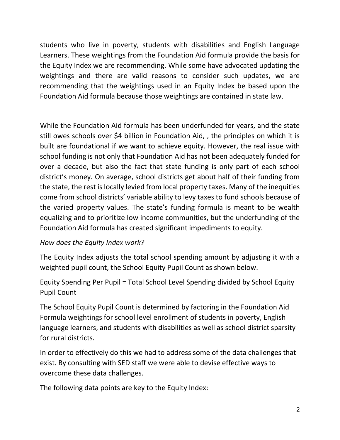students who live in poverty, students with disabilities and English Language Learners. These weightings from the Foundation Aid formula provide the basis for the Equity Index we are recommending. While some have advocated updating the weightings and there are valid reasons to consider such updates, we are recommending that the weightings used in an Equity Index be based upon the Foundation Aid formula because those weightings are contained in state law.

While the Foundation Aid formula has been underfunded for years, and the state still owes schools over \$4 billion in Foundation Aid, , the principles on which it is built are foundational if we want to achieve equity. However, the real issue with school funding is not only that Foundation Aid has not been adequately funded for over a decade, but also the fact that state funding is only part of each school district's money. On average, school districts get about half of their funding from the state, the rest is locally levied from local property taxes. Many of the inequities come from school districts' variable ability to levy taxes to fund schools because of the varied property values. The state's funding formula is meant to be wealth equalizing and to prioritize low income communities, but the underfunding of the Foundation Aid formula has created significant impediments to equity.

## *How does the Equity Index work?*

The Equity Index adjusts the total school spending amount by adjusting it with a weighted pupil count, the School Equity Pupil Count as shown below.

Equity Spending Per Pupil = Total School Level Spending divided by School Equity Pupil Count

The School Equity Pupil Count is determined by factoring in the Foundation Aid Formula weightings for school level enrollment of students in poverty, English language learners, and students with disabilities as well as school district sparsity for rural districts.

In order to effectively do this we had to address some of the data challenges that exist. By consulting with SED staff we were able to devise effective ways to overcome these data challenges.

The following data points are key to the Equity Index: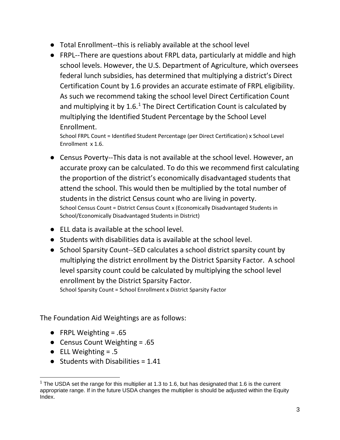- Total Enrollment--this is reliably available at the school level
- FRPL--There are questions about FRPL data, particularly at middle and high school levels. However, the U.S. Department of Agriculture, which oversees federal lunch subsidies, has determined that multiplying a district's Direct Certification Count by 1.6 provides an accurate estimate of FRPL eligibility. As such we recommend taking the school level Direct Certification Count and multiplying it by  $1.6<sup>1</sup>$  $1.6<sup>1</sup>$  The Direct Certification Count is calculated by multiplying the Identified Student Percentage by the School Level Enrollment.

School FRPL Count = Identified Student Percentage (per Direct Certification) x School Level Enrollment x 1.6.

- Census Poverty--This data is not available at the school level. However, an accurate proxy can be calculated. To do this we recommend first calculating the proportion of the district's economically disadvantaged students that attend the school. This would then be multiplied by the total number of students in the district Census count who are living in poverty. School Census Count = District Census Count x (Economically Disadvantaged Students in School/Economically Disadvantaged Students in District)
- ELL data is available at the school level.
- Students with disabilities data is available at the school level.
- School Sparsity Count--SED calculates a school district sparsity count by multiplying the district enrollment by the District Sparsity Factor. A school level sparsity count could be calculated by multiplying the school level enrollment by the District Sparsity Factor.

School Sparsity Count = School Enrollment x District Sparsity Factor

The Foundation Aid Weightings are as follows:

- FRPL Weighting  $= .65$
- Census Count Weighting = .65
- $\bullet$  ELL Weighting = .5
- $\bullet$  Students with Disabilities = 1.41

<span id="page-2-0"></span><sup>&</sup>lt;sup>1</sup> The USDA set the range for this multiplier at 1.3 to 1.6, but has designated that 1.6 is the current appropriate range. If in the future USDA changes the multiplier is should be adjusted within the Equity Index.